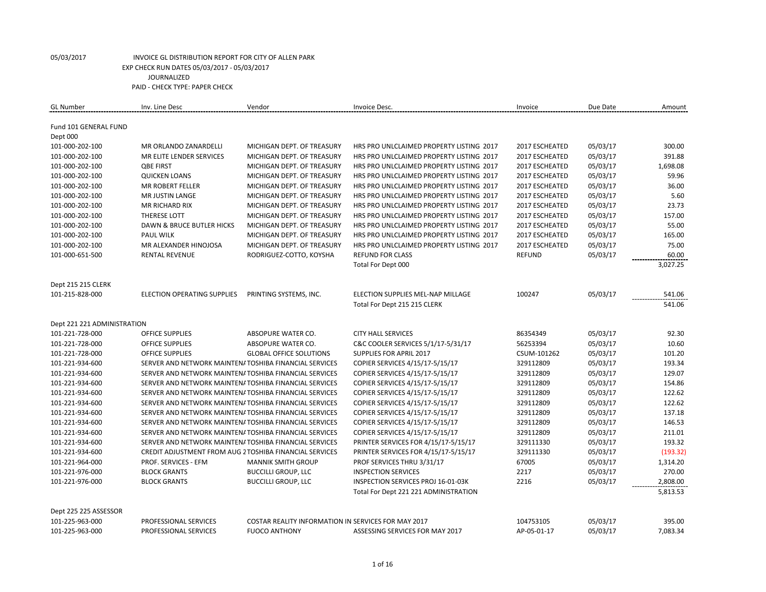| <b>GL Number</b>            | Inv. Line Desc                                          | Vendor                                              | Invoice Desc.                            | Invoice        | Due Date | Amount           |
|-----------------------------|---------------------------------------------------------|-----------------------------------------------------|------------------------------------------|----------------|----------|------------------|
|                             |                                                         |                                                     |                                          |                |          |                  |
| Fund 101 GENERAL FUND       |                                                         |                                                     |                                          |                |          |                  |
| Dept 000                    |                                                         |                                                     |                                          |                |          |                  |
| 101-000-202-100             | <b>MR ORLANDO ZANARDELLI</b>                            | MICHIGAN DEPT. OF TREASURY                          | HRS PRO UNLCLAIMED PROPERTY LISTING 2017 | 2017 ESCHEATED | 05/03/17 | 300.00           |
| 101-000-202-100             | <b>MR ELITE LENDER SERVICES</b>                         | MICHIGAN DEPT. OF TREASURY                          | HRS PRO UNLCLAIMED PROPERTY LISTING 2017 | 2017 ESCHEATED | 05/03/17 | 391.88           |
| 101-000-202-100             | <b>OBE FIRST</b>                                        | MICHIGAN DEPT. OF TREASURY                          | HRS PRO UNLCLAIMED PROPERTY LISTING 2017 | 2017 ESCHEATED | 05/03/17 | 1,698.08         |
| 101-000-202-100             | <b>QUICKEN LOANS</b>                                    | MICHIGAN DEPT. OF TREASURY                          | HRS PRO UNLCLAIMED PROPERTY LISTING 2017 | 2017 ESCHEATED | 05/03/17 | 59.96            |
| 101-000-202-100             | <b>MR ROBERT FELLER</b>                                 | MICHIGAN DEPT. OF TREASURY                          | HRS PRO UNLCLAIMED PROPERTY LISTING 2017 | 2017 ESCHEATED | 05/03/17 | 36.00            |
| 101-000-202-100             | MR JUSTIN LANGE                                         | MICHIGAN DEPT. OF TREASURY                          | HRS PRO UNLCLAIMED PROPERTY LISTING 2017 | 2017 ESCHEATED | 05/03/17 | 5.60             |
| 101-000-202-100             | <b>MR RICHARD RIX</b>                                   | MICHIGAN DEPT. OF TREASURY                          | HRS PRO UNLCLAIMED PROPERTY LISTING 2017 | 2017 ESCHEATED | 05/03/17 | 23.73            |
| 101-000-202-100             | <b>THERESE LOTT</b>                                     | MICHIGAN DEPT. OF TREASURY                          | HRS PRO UNLCLAIMED PROPERTY LISTING 2017 | 2017 ESCHEATED | 05/03/17 | 157.00           |
| 101-000-202-100             | <b>DAWN &amp; BRUCE BUTLER HICKS</b>                    | MICHIGAN DEPT. OF TREASURY                          | HRS PRO UNLCLAIMED PROPERTY LISTING 2017 | 2017 ESCHEATED | 05/03/17 | 55.00            |
| 101-000-202-100             | <b>PAUL WILK</b>                                        | MICHIGAN DEPT. OF TREASURY                          | HRS PRO UNLCLAIMED PROPERTY LISTING 2017 | 2017 ESCHEATED | 05/03/17 | 165.00           |
| 101-000-202-100             | MR ALEXANDER HINOJOSA                                   | MICHIGAN DEPT. OF TREASURY                          | HRS PRO UNLCLAIMED PROPERTY LISTING 2017 | 2017 ESCHEATED | 05/03/17 | 75.00            |
| 101-000-651-500             | <b>RENTAL REVENUE</b>                                   | RODRIGUEZ-COTTO, KOYSHA                             | <b>REFUND FOR CLASS</b>                  | <b>REFUND</b>  | 05/03/17 | 60.00            |
|                             |                                                         |                                                     | Total For Dept 000                       |                |          | 3,027.25         |
|                             |                                                         |                                                     |                                          |                |          |                  |
| Dept 215 215 CLERK          | ELECTION OPERATING SUPPLIES                             |                                                     | ELECTION SUPPLIES MEL-NAP MILLAGE        | 100247         |          |                  |
| 101-215-828-000             |                                                         | PRINTING SYSTEMS, INC.                              | Total For Dept 215 215 CLERK             |                | 05/03/17 | 541.06<br>541.06 |
|                             |                                                         |                                                     |                                          |                |          |                  |
| Dept 221 221 ADMINISTRATION |                                                         |                                                     |                                          |                |          |                  |
| 101-221-728-000             | <b>OFFICE SUPPLIES</b>                                  | ABSOPURE WATER CO.                                  | <b>CITY HALL SERVICES</b>                | 86354349       | 05/03/17 | 92.30            |
| 101-221-728-000             | <b>OFFICE SUPPLIES</b>                                  | ABSOPURE WATER CO.                                  | C&C COOLER SERVICES 5/1/17-5/31/17       | 56253394       | 05/03/17 | 10.60            |
| 101-221-728-000             | <b>OFFICE SUPPLIES</b>                                  | <b>GLOBAL OFFICE SOLUTIONS</b>                      | SUPPLIES FOR APRIL 2017                  | CSUM-101262    | 05/03/17 | 101.20           |
| 101-221-934-600             | SERVER AND NETWORK MAINTEN/ TOSHIBA FINANCIAL SERVICES  |                                                     | COPIER SERVICES 4/15/17-5/15/17          | 329112809      | 05/03/17 | 193.34           |
| 101-221-934-600             | SERVER AND NETWORK MAINTEN/ TOSHIBA FINANCIAL SERVICES  |                                                     | COPIER SERVICES 4/15/17-5/15/17          | 329112809      | 05/03/17 | 129.07           |
| 101-221-934-600             | SERVER AND NETWORK MAINTEN/ TOSHIBA FINANCIAL SERVICES  |                                                     | COPIER SERVICES 4/15/17-5/15/17          | 329112809      | 05/03/17 | 154.86           |
| 101-221-934-600             | SERVER AND NETWORK MAINTEN/ TOSHIBA FINANCIAL SERVICES  |                                                     | COPIER SERVICES 4/15/17-5/15/17          | 329112809      | 05/03/17 | 122.62           |
| 101-221-934-600             | SERVER AND NETWORK MAINTEN/ TOSHIBA FINANCIAL SERVICES  |                                                     | COPIER SERVICES 4/15/17-5/15/17          | 329112809      | 05/03/17 | 122.62           |
| 101-221-934-600             | SERVER AND NETWORK MAINTEN/ TOSHIBA FINANCIAL SERVICES  |                                                     | COPIER SERVICES 4/15/17-5/15/17          | 329112809      | 05/03/17 | 137.18           |
| 101-221-934-600             | SERVER AND NETWORK MAINTEN/ TOSHIBA FINANCIAL SERVICES  |                                                     | COPIER SERVICES 4/15/17-5/15/17          | 329112809      | 05/03/17 | 146.53           |
| 101-221-934-600             | SERVER AND NETWORK MAINTEN/ TOSHIBA FINANCIAL SERVICES  |                                                     | COPIER SERVICES 4/15/17-5/15/17          | 329112809      | 05/03/17 | 211.01           |
| 101-221-934-600             | SERVER AND NETWORK MAINTEN/ TOSHIBA FINANCIAL SERVICES  |                                                     | PRINTER SERVICES FOR 4/15/17-5/15/17     | 329111330      | 05/03/17 | 193.32           |
| 101-221-934-600             | CREDIT ADJUSTMENT FROM AUG 2 TOSHIBA FINANCIAL SERVICES |                                                     | PRINTER SERVICES FOR 4/15/17-5/15/17     | 329111330      | 05/03/17 | (193.32)         |
| 101-221-964-000             | PROF. SERVICES - EFM                                    | <b>MANNIK SMITH GROUP</b>                           | PROF SERVICES THRU 3/31/17               | 67005          | 05/03/17 | 1,314.20         |
| 101-221-976-000             | <b>BLOCK GRANTS</b>                                     | <b>BUCCILLI GROUP, LLC</b>                          | <b>INSPECTION SERVICES</b>               | 2217           | 05/03/17 | 270.00           |
| 101-221-976-000             | <b>BLOCK GRANTS</b>                                     | <b>BUCCILLI GROUP, LLC</b>                          | INSPECTION SERVICES PROJ 16-01-03K       | 2216           | 05/03/17 | 2,808.00         |
|                             |                                                         |                                                     | Total For Dept 221 221 ADMINISTRATION    |                |          | 5,813.53         |
|                             |                                                         |                                                     |                                          |                |          |                  |
| Dept 225 225 ASSESSOR       |                                                         |                                                     |                                          |                |          |                  |
| 101-225-963-000             | PROFESSIONAL SERVICES                                   | COSTAR REALITY INFORMATION IN SERVICES FOR MAY 2017 |                                          | 104753105      | 05/03/17 | 395.00           |
| 101-225-963-000             | PROFESSIONAL SERVICES                                   | <b>FUOCO ANTHONY</b>                                | ASSESSING SERVICES FOR MAY 2017          | AP-05-01-17    | 05/03/17 | 7,083.34         |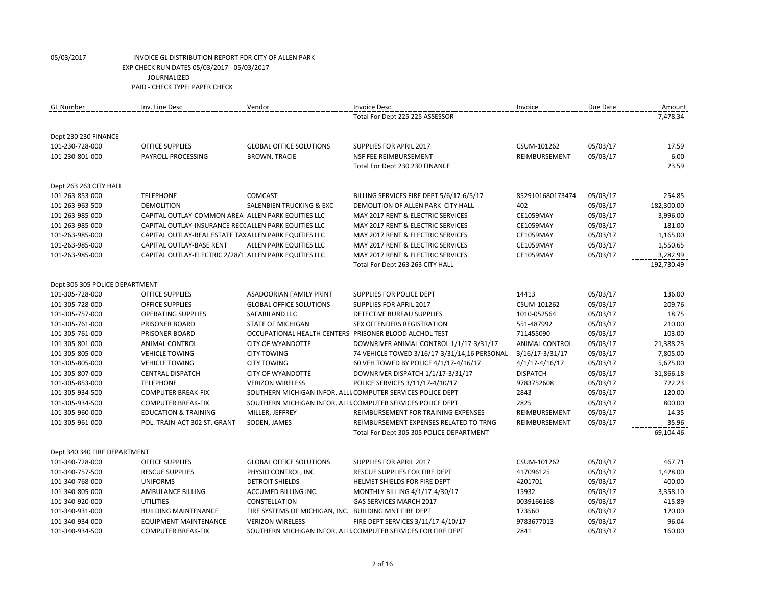| <b>GL Number</b>                   | Inv. Line Desc                                         | Vendor                                                 | Invoice Desc.                                                  | Invoice            | Due Date | Amount        |
|------------------------------------|--------------------------------------------------------|--------------------------------------------------------|----------------------------------------------------------------|--------------------|----------|---------------|
|                                    |                                                        |                                                        | Total For Dept 225 225 ASSESSOR                                |                    |          | 7,478.34      |
|                                    |                                                        |                                                        |                                                                |                    |          |               |
| Dept 230 230 FINANCE               |                                                        |                                                        |                                                                | CSUM-101262        |          |               |
| 101-230-728-000<br>101-230-801-000 | <b>OFFICE SUPPLIES</b><br>PAYROLL PROCESSING           | <b>GLOBAL OFFICE SOLUTIONS</b>                         | <b>SUPPLIES FOR APRIL 2017</b><br>NSF FEE REIMBURSEMENT        | REIMBURSEMENT      | 05/03/17 | 17.59<br>6.00 |
|                                    |                                                        | <b>BROWN, TRACIE</b>                                   |                                                                |                    | 05/03/17 | 23.59         |
|                                    |                                                        |                                                        | Total For Dept 230 230 FINANCE                                 |                    |          |               |
| Dept 263 263 CITY HALL             |                                                        |                                                        |                                                                |                    |          |               |
| 101-263-853-000                    | <b>TELEPHONE</b>                                       | <b>COMCAST</b>                                         | BILLING SERVICES FIRE DEPT 5/6/17-6/5/17                       | 8529101680173474   | 05/03/17 | 254.85        |
| 101-263-963-500                    | <b>DEMOLITION</b>                                      | <b>SALENBIEN TRUCKING &amp; EXC</b>                    | DEMOLITION OF ALLEN PARK CITY HALL                             | 402                | 05/03/17 | 182,300.00    |
| 101-263-985-000                    | CAPITAL OUTLAY-COMMON AREA ALLEN PARK EQUITIES LLC     |                                                        | MAY 2017 RENT & ELECTRIC SERVICES                              | <b>CE1059MAY</b>   | 05/03/17 | 3,996.00      |
| 101-263-985-000                    | CAPITAL OUTLAY-INSURANCE REC( ALLEN PARK EQUITIES LLC  |                                                        | MAY 2017 RENT & ELECTRIC SERVICES                              | <b>CE1059MAY</b>   | 05/03/17 | 181.00        |
| 101-263-985-000                    | CAPITAL OUTLAY-REAL ESTATE TAX ALLEN PARK EQUITIES LLC |                                                        | MAY 2017 RENT & ELECTRIC SERVICES                              | <b>CE1059MAY</b>   | 05/03/17 | 1,165.00      |
| 101-263-985-000                    | CAPITAL OUTLAY-BASE RENT                               | ALLEN PARK EQUITIES LLC                                | MAY 2017 RENT & ELECTRIC SERVICES                              | <b>CE1059MAY</b>   | 05/03/17 | 1,550.65      |
| 101-263-985-000                    | CAPITAL OUTLAY-ELECTRIC 2/28/1 ALLEN PARK EQUITIES LLC |                                                        | MAY 2017 RENT & ELECTRIC SERVICES                              | <b>CE1059MAY</b>   | 05/03/17 | 3,282.99      |
|                                    |                                                        |                                                        | Total For Dept 263 263 CITY HALL                               |                    |          | 192,730.49    |
| Dept 305 305 POLICE DEPARTMENT     |                                                        |                                                        |                                                                |                    |          |               |
| 101-305-728-000                    | <b>OFFICE SUPPLIES</b>                                 | ASADOORIAN FAMILY PRINT                                | SUPPLIES FOR POLICE DEPT                                       | 14413              | 05/03/17 | 136.00        |
| 101-305-728-000                    | <b>OFFICE SUPPLIES</b>                                 | <b>GLOBAL OFFICE SOLUTIONS</b>                         | SUPPLIES FOR APRIL 2017                                        | CSUM-101262        | 05/03/17 | 209.76        |
| 101-305-757-000                    | <b>OPERATING SUPPLIES</b>                              | SAFARILAND LLC                                         | DETECTIVE BUREAU SUPPLIES                                      | 1010-052564        | 05/03/17 | 18.75         |
| 101-305-761-000                    | PRISONER BOARD                                         | <b>STATE OF MICHIGAN</b>                               | <b>SEX OFFENDERS REGISTRATION</b>                              | 551-487992         | 05/03/17 | 210.00        |
| 101-305-761-000                    | PRISONER BOARD                                         | OCCUPATIONAL HEALTH CENTERS PRISONER BLOOD ALCHOL TEST |                                                                | 711455090          | 05/03/17 | 103.00        |
| 101-305-801-000                    | <b>ANIMAL CONTROL</b>                                  | <b>CITY OF WYANDOTTE</b>                               | DOWNRIVER ANIMAL CONTROL 1/1/17-3/31/17                        | ANIMAL CONTROL     | 05/03/17 | 21,388.23     |
| 101-305-805-000                    | <b>VEHICLE TOWING</b>                                  | <b>CITY TOWING</b>                                     | 74 VEHICLE TOWED 3/16/17-3/31/14,16 PERSONAL                   | 3/16/17-3/31/17    | 05/03/17 | 7,805.00      |
| 101-305-805-000                    | <b>VEHICLE TOWING</b>                                  | <b>CITY TOWING</b>                                     | 60 VEH TOWED BY POLICE 4/1/17-4/16/17                          | $4/1/17 - 4/16/17$ | 05/03/17 | 5,675.00      |
| 101-305-807-000                    | <b>CENTRAL DISPATCH</b>                                | <b>CITY OF WYANDOTTE</b>                               | DOWNRIVER DISPATCH 1/1/17-3/31/17                              | <b>DISPATCH</b>    | 05/03/17 | 31,866.18     |
| 101-305-853-000                    | <b>TELEPHONE</b>                                       | <b>VERIZON WIRELESS</b>                                | POLICE SERVICES 3/11/17-4/10/17                                | 9783752608         | 05/03/17 | 722.23        |
| 101-305-934-500                    | <b>COMPUTER BREAK-FIX</b>                              |                                                        | SOUTHERN MICHIGAN INFOR. ALLI. COMPUTER SERVICES POLICE DEPT   | 2843               | 05/03/17 | 120.00        |
| 101-305-934-500                    | <b>COMPUTER BREAK-FIX</b>                              |                                                        | SOUTHERN MICHIGAN INFOR. ALLI. COMPUTER SERVICES POLICE DEPT   | 2825               | 05/03/17 | 800.00        |
| 101-305-960-000                    | <b>EDUCATION &amp; TRAINING</b>                        | MILLER, JEFFREY                                        | REIMBURSEMENT FOR TRAINING EXPENSES                            | REIMBURSEMENT      | 05/03/17 | 14.35         |
| 101-305-961-000                    | POL. TRAIN-ACT 302 ST. GRANT                           | SODEN, JAMES                                           | REIMBURSEMENT EXPENSES RELATED TO TRNG                         | REIMBURSEMENT      | 05/03/17 | 35.96         |
|                                    |                                                        |                                                        | Total For Dept 305 305 POLICE DEPARTMENT                       |                    |          | 69,104.46     |
|                                    |                                                        |                                                        |                                                                |                    |          |               |
| Dept 340 340 FIRE DEPARTMENT       |                                                        |                                                        |                                                                |                    |          |               |
| 101-340-728-000                    | <b>OFFICE SUPPLIES</b>                                 | <b>GLOBAL OFFICE SOLUTIONS</b>                         | SUPPLIES FOR APRIL 2017                                        | CSUM-101262        | 05/03/17 | 467.71        |
| 101-340-757-500                    | <b>RESCUE SUPPLIES</b>                                 | PHYSIO CONTROL, INC                                    | RESCUE SUPPLIES FOR FIRE DEPT                                  | 417096125          | 05/03/17 | 1,428.00      |
| 101-340-768-000                    | <b>UNIFORMS</b>                                        | <b>DETROIT SHIELDS</b>                                 | HELMET SHIELDS FOR FIRE DEPT                                   | 4201701            | 05/03/17 | 400.00        |
| 101-340-805-000                    | AMBULANCE BILLING                                      | ACCUMED BILLING INC.                                   | MONTHLY BILLING 4/1/17-4/30/17                                 | 15932              | 05/03/17 | 3,358.10      |
| 101-340-920-000                    | <b>UTILITIES</b>                                       | CONSTELLATION                                          | GAS SERVICES MARCH 2017                                        | 0039166168         | 05/03/17 | 415.89        |
| 101-340-931-000                    | <b>BUILDING MAINTENANCE</b>                            | FIRE SYSTEMS OF MICHIGAN, INC. BUILDING MNT FIRE DEPT  |                                                                | 173560             | 05/03/17 | 120.00        |
| 101-340-934-000                    | <b>EQUIPMENT MAINTENANCE</b>                           | <b>VERIZON WIRELESS</b>                                | FIRE DEPT SERVICES 3/11/17-4/10/17                             | 9783677013         | 05/03/17 | 96.04         |
| 101-340-934-500                    | <b>COMPUTER BREAK-FIX</b>                              |                                                        | SOUTHERN MICHIGAN INFOR. ALLI. COMPUTER SERVICES FOR FIRE DEPT | 2841               | 05/03/17 | 160.00        |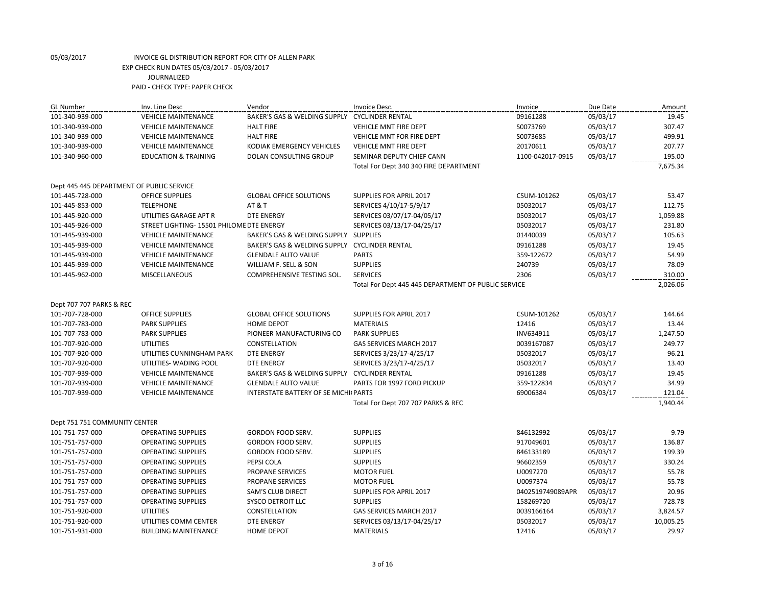| <b>GL</b> Number                          | Inv. Line Desc                           | Vendor                                        | Invoice Desc.                                       | Invoice          | Due Date | Amount    |
|-------------------------------------------|------------------------------------------|-----------------------------------------------|-----------------------------------------------------|------------------|----------|-----------|
| 101-340-939-000                           | <b>VEHICLE MAINTENANCE</b>               | BAKER'S GAS & WELDING SUPPLY                  | <b>CYCLINDER RENTAL</b>                             | 09161288         | 05/03/17 | 19.45     |
| 101-340-939-000                           | <b>VEHICLE MAINTENANCE</b>               | <b>HALT FIRE</b>                              | <b>VEHICLE MNT FIRE DEPT</b>                        | S0073769         | 05/03/17 | 307.47    |
| 101-340-939-000                           | <b>VEHICLE MAINTENANCE</b>               | <b>HALT FIRE</b>                              | VEHICLE MNT FOR FIRE DEPT                           | S0073685         | 05/03/17 | 499.91    |
| 101-340-939-000                           | <b>VEHICLE MAINTENANCE</b>               | KODIAK EMERGENCY VEHICLES                     | <b>VEHICLE MNT FIRE DEPT</b>                        | 20170611         | 05/03/17 | 207.77    |
| 101-340-960-000                           | <b>EDUCATION &amp; TRAINING</b>          | DOLAN CONSULTING GROUP                        | SEMINAR DEPUTY CHIEF CANN                           | 1100-042017-0915 | 05/03/17 | 195.00    |
|                                           |                                          |                                               | Total For Dept 340 340 FIRE DEPARTMENT              |                  |          | 7,675.34  |
| Dept 445 445 DEPARTMENT OF PUBLIC SERVICE |                                          |                                               |                                                     |                  |          |           |
| 101-445-728-000                           | <b>OFFICE SUPPLIES</b>                   | <b>GLOBAL OFFICE SOLUTIONS</b>                | <b>SUPPLIES FOR APRIL 2017</b>                      | CSUM-101262      | 05/03/17 | 53.47     |
| 101-445-853-000                           | <b>TELEPHONE</b>                         | <b>AT &amp; T</b>                             | SERVICES 4/10/17-5/9/17                             | 05032017         | 05/03/17 | 112.75    |
| 101-445-920-000                           | UTILITIES GARAGE APT R                   | <b>DTE ENERGY</b>                             | SERVICES 03/07/17-04/05/17                          | 05032017         | 05/03/17 | 1,059.88  |
| 101-445-926-000                           | STREET LIGHTING-15501 PHILOME DTE ENERGY |                                               | SERVICES 03/13/17-04/25/17                          | 05032017         | 05/03/17 | 231.80    |
| 101-445-939-000                           | <b>VEHICLE MAINTENANCE</b>               | BAKER'S GAS & WELDING SUPPLY SUPPLIES         |                                                     | 01440039         | 05/03/17 | 105.63    |
| 101-445-939-000                           | <b>VEHICLE MAINTENANCE</b>               | BAKER'S GAS & WELDING SUPPLY CYCLINDER RENTAL |                                                     | 09161288         | 05/03/17 | 19.45     |
| 101-445-939-000                           | <b>VEHICLE MAINTENANCE</b>               | <b>GLENDALE AUTO VALUE</b>                    | <b>PARTS</b>                                        | 359-122672       | 05/03/17 | 54.99     |
| 101-445-939-000                           | <b>VEHICLE MAINTENANCE</b>               | WILLIAM F. SELL & SON                         | <b>SUPPLIES</b>                                     | 240739           | 05/03/17 | 78.09     |
| 101-445-962-000                           | <b>MISCELLANEOUS</b>                     | <b>COMPREHENSIVE TESTING SOL.</b>             | <b>SERVICES</b>                                     | 2306             | 05/03/17 | 310.00    |
|                                           |                                          |                                               | Total For Dept 445 445 DEPARTMENT OF PUBLIC SERVICE |                  |          | 2,026.06  |
| Dept 707 707 PARKS & REC                  |                                          |                                               |                                                     |                  |          |           |
| 101-707-728-000                           | <b>OFFICE SUPPLIES</b>                   | <b>GLOBAL OFFICE SOLUTIONS</b>                | <b>SUPPLIES FOR APRIL 2017</b>                      | CSUM-101262      | 05/03/17 | 144.64    |
| 101-707-783-000                           | <b>PARK SUPPLIES</b>                     | <b>HOME DEPOT</b>                             | <b>MATERIALS</b>                                    | 12416            | 05/03/17 | 13.44     |
| 101-707-783-000                           | <b>PARK SUPPLIES</b>                     | PIONEER MANUFACTURING CO                      | <b>PARK SUPPLIES</b>                                | INV634911        | 05/03/17 | 1,247.50  |
| 101-707-920-000                           | <b>UTILITIES</b>                         | CONSTELLATION                                 | GAS SERVICES MARCH 2017                             | 0039167087       | 05/03/17 | 249.77    |
| 101-707-920-000                           | UTILITIES CUNNINGHAM PARK                | <b>DTE ENERGY</b>                             | SERVICES 3/23/17-4/25/17                            | 05032017         | 05/03/17 | 96.21     |
| 101-707-920-000                           | UTILITIES- WADING POOL                   | <b>DTE ENERGY</b>                             | SERVICES 3/23/17-4/25/17                            | 05032017         | 05/03/17 | 13.40     |
| 101-707-939-000                           | <b>VEHICLE MAINTENANCE</b>               | BAKER'S GAS & WELDING SUPPLY CYCLINDER RENTAL |                                                     | 09161288         | 05/03/17 | 19.45     |
| 101-707-939-000                           | <b>VEHICLE MAINTENANCE</b>               | <b>GLENDALE AUTO VALUE</b>                    | PARTS FOR 1997 FORD PICKUP                          | 359-122834       | 05/03/17 | 34.99     |
| 101-707-939-000                           | <b>VEHICLE MAINTENANCE</b>               | <b>INTERSTATE BATTERY OF SE MICHK PARTS</b>   |                                                     | 69006384         | 05/03/17 | 121.04    |
|                                           |                                          |                                               | Total For Dept 707 707 PARKS & REC                  |                  |          | 1,940.44  |
| Dept 751 751 COMMUNITY CENTER             |                                          |                                               |                                                     |                  |          |           |
| 101-751-757-000                           | <b>OPERATING SUPPLIES</b>                | GORDON FOOD SERV.                             | <b>SUPPLIES</b>                                     | 846132992        | 05/03/17 | 9.79      |
| 101-751-757-000                           | <b>OPERATING SUPPLIES</b>                | GORDON FOOD SERV.                             | <b>SUPPLIES</b>                                     | 917049601        | 05/03/17 | 136.87    |
| 101-751-757-000                           | <b>OPERATING SUPPLIES</b>                | GORDON FOOD SERV.                             | <b>SUPPLIES</b>                                     | 846133189        | 05/03/17 | 199.39    |
| 101-751-757-000                           | <b>OPERATING SUPPLIES</b>                | PEPSI COLA                                    | <b>SUPPLIES</b>                                     | 96602359         | 05/03/17 | 330.24    |
| 101-751-757-000                           | <b>OPERATING SUPPLIES</b>                | <b>PROPANE SERVICES</b>                       | <b>MOTOR FUEL</b>                                   | U0097270         | 05/03/17 | 55.78     |
| 101-751-757-000                           | <b>OPERATING SUPPLIES</b>                | <b>PROPANE SERVICES</b>                       | <b>MOTOR FUEL</b>                                   | U0097374         | 05/03/17 | 55.78     |
| 101-751-757-000                           | <b>OPERATING SUPPLIES</b>                | <b>SAM'S CLUB DIRECT</b>                      | <b>SUPPLIES FOR APRIL 2017</b>                      | 0402519749089APR | 05/03/17 | 20.96     |
| 101-751-757-000                           | <b>OPERATING SUPPLIES</b>                | SYSCO DETROIT LLC                             | <b>SUPPLIES</b>                                     | 158269720        | 05/03/17 | 728.78    |
| 101-751-920-000                           | <b>UTILITIES</b>                         | CONSTELLATION                                 | <b>GAS SERVICES MARCH 2017</b>                      | 0039166164       | 05/03/17 | 3,824.57  |
| 101-751-920-000                           | UTILITIES COMM CENTER                    | <b>DTE ENERGY</b>                             | SERVICES 03/13/17-04/25/17                          | 05032017         | 05/03/17 | 10,005.25 |
| 101-751-931-000                           | <b>BUILDING MAINTENANCE</b>              | <b>HOME DEPOT</b>                             | <b>MATERIALS</b>                                    | 12416            | 05/03/17 | 29.97     |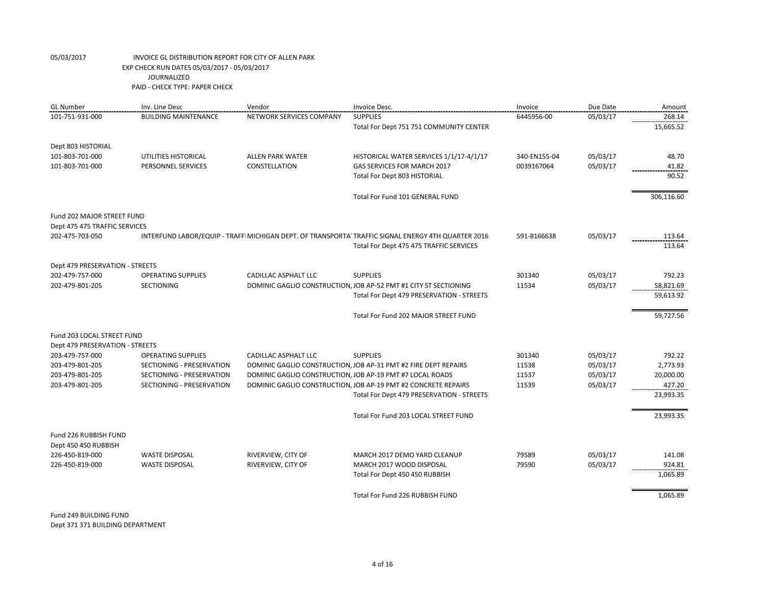| 101-751-931-000<br><b>BUILDING MAINTENANCE</b><br>NETWORK SERVICES COMPANY<br><b>SUPPLIES</b><br>6445956-00<br>05/03/17<br>268.14<br>15,665.52<br>Total For Dept 751 751 COMMUNITY CENTER<br>Dept 803 HISTORIAL<br>05/03/17<br>48.70<br>101-803-701-000<br>UTILITIES HISTORICAL<br><b>ALLEN PARK WATER</b><br>HISTORICAL WATER SERVICES 1/1/17-4/1/17<br>340-EN155-04<br>CONSTELLATION<br>GAS SERVICES FOR MARCH 2017<br>05/03/17<br>101-803-701-000<br>PERSONNEL SERVICES<br>0039167064<br>41.82<br>Total For Dept 803 HISTORIAL<br>90.52<br>306,116.60<br>Total For Fund 101 GENERAL FUND<br>Fund 202 MAJOR STREET FUND<br>Dept 475 475 TRAFFIC SERVICES<br>05/03/17<br>202-475-703-050<br>INTERFUND LABOR/EQUIP - TRAFFI MICHIGAN DEPT. OF TRANSPORTA TRAFFIC SIGNAL ENERGY 4TH QUARTER 2016<br>591-8166638<br>113.64<br>113.64<br>Total For Dept 475 475 TRAFFIC SERVICES<br>Dept 479 PRESERVATION - STREETS<br>05/03/17<br>202-479-757-000<br><b>OPERATING SUPPLIES</b><br><b>CADILLAC ASPHALT LLC</b><br><b>SUPPLIES</b><br>301340<br>792.23<br>202-479-801-205<br><b>SECTIONING</b><br>DOMINIC GAGLIO CONSTRUCTION, JOB AP-52 PMT #1 CITY ST SECTIONING<br>11534<br>05/03/17<br>58,821.69<br>59,613.92<br>Total For Dept 479 PRESERVATION - STREETS<br>Total For Fund 202 MAJOR STREET FUND<br>59,727.56<br>Fund 203 LOCAL STREET FUND<br>Dept 479 PRESERVATION - STREETS<br><b>SUPPLIES</b><br>301340<br>05/03/17<br>792.22<br>203-479-757-000<br><b>OPERATING SUPPLIES</b><br><b>CADILLAC ASPHALT LLC</b><br>05/03/17<br>203-479-801-205<br>SECTIONING - PRESERVATION<br>DOMINIC GAGLIO CONSTRUCTION, JOB AP-31 PMT #2 FIRE DEPT REPAIRS<br>11538<br>2,773.93<br>05/03/17<br>20,000.00<br>203-479-801-205<br>SECTIONING - PRESERVATION<br>DOMINIC GAGLIO CONSTRUCTION, JOB AP-19 PMT #7 LOCAL ROADS<br>11537<br>05/03/17<br>427.20<br>203-479-801-205<br>SECTIONING - PRESERVATION<br>DOMINIC GAGLIO CONSTRUCTION, JOB AP-19 PMT #2 CONCRETE REPAIRS<br>11539<br>Total For Dept 479 PRESERVATION - STREETS<br>23,993.35<br>23,993.35<br>Total For Fund 203 LOCAL STREET FUND<br>Fund 226 RUBBISH FUND<br>Dept 450 450 RUBBISH<br>79589<br>05/03/17<br>226-450-819-000<br><b>WASTE DISPOSAL</b><br>RIVERVIEW, CITY OF<br>141.08<br>MARCH 2017 DEMO YARD CLEANUP<br>226-450-819-000<br><b>WASTE DISPOSAL</b><br>RIVERVIEW, CITY OF<br>MARCH 2017 WOOD DISPOSAL<br>79590<br>05/03/17<br>924.81<br>1,065.89<br>Total For Dept 450 450 RUBBISH<br>Total For Fund 226 RUBBISH FUND<br>1,065.89 | <b>GL Number</b> | Inv. Line Desc | Vendor | Invoice Desc. | Invoice | Due Date | Amount |
|---------------------------------------------------------------------------------------------------------------------------------------------------------------------------------------------------------------------------------------------------------------------------------------------------------------------------------------------------------------------------------------------------------------------------------------------------------------------------------------------------------------------------------------------------------------------------------------------------------------------------------------------------------------------------------------------------------------------------------------------------------------------------------------------------------------------------------------------------------------------------------------------------------------------------------------------------------------------------------------------------------------------------------------------------------------------------------------------------------------------------------------------------------------------------------------------------------------------------------------------------------------------------------------------------------------------------------------------------------------------------------------------------------------------------------------------------------------------------------------------------------------------------------------------------------------------------------------------------------------------------------------------------------------------------------------------------------------------------------------------------------------------------------------------------------------------------------------------------------------------------------------------------------------------------------------------------------------------------------------------------------------------------------------------------------------------------------------------------------------------------------------------------------------------------------------------------------------------------------------------------------------------------------------------------------------------------------------------------------------------------------------------------------------------------------------------------------------------------------------------------|------------------|----------------|--------|---------------|---------|----------|--------|
|                                                                                                                                                                                                                                                                                                                                                                                                                                                                                                                                                                                                                                                                                                                                                                                                                                                                                                                                                                                                                                                                                                                                                                                                                                                                                                                                                                                                                                                                                                                                                                                                                                                                                                                                                                                                                                                                                                                                                                                                                                                                                                                                                                                                                                                                                                                                                                                                                                                                                                   |                  |                |        |               |         |          |        |
|                                                                                                                                                                                                                                                                                                                                                                                                                                                                                                                                                                                                                                                                                                                                                                                                                                                                                                                                                                                                                                                                                                                                                                                                                                                                                                                                                                                                                                                                                                                                                                                                                                                                                                                                                                                                                                                                                                                                                                                                                                                                                                                                                                                                                                                                                                                                                                                                                                                                                                   |                  |                |        |               |         |          |        |
|                                                                                                                                                                                                                                                                                                                                                                                                                                                                                                                                                                                                                                                                                                                                                                                                                                                                                                                                                                                                                                                                                                                                                                                                                                                                                                                                                                                                                                                                                                                                                                                                                                                                                                                                                                                                                                                                                                                                                                                                                                                                                                                                                                                                                                                                                                                                                                                                                                                                                                   |                  |                |        |               |         |          |        |
|                                                                                                                                                                                                                                                                                                                                                                                                                                                                                                                                                                                                                                                                                                                                                                                                                                                                                                                                                                                                                                                                                                                                                                                                                                                                                                                                                                                                                                                                                                                                                                                                                                                                                                                                                                                                                                                                                                                                                                                                                                                                                                                                                                                                                                                                                                                                                                                                                                                                                                   |                  |                |        |               |         |          |        |
|                                                                                                                                                                                                                                                                                                                                                                                                                                                                                                                                                                                                                                                                                                                                                                                                                                                                                                                                                                                                                                                                                                                                                                                                                                                                                                                                                                                                                                                                                                                                                                                                                                                                                                                                                                                                                                                                                                                                                                                                                                                                                                                                                                                                                                                                                                                                                                                                                                                                                                   |                  |                |        |               |         |          |        |
|                                                                                                                                                                                                                                                                                                                                                                                                                                                                                                                                                                                                                                                                                                                                                                                                                                                                                                                                                                                                                                                                                                                                                                                                                                                                                                                                                                                                                                                                                                                                                                                                                                                                                                                                                                                                                                                                                                                                                                                                                                                                                                                                                                                                                                                                                                                                                                                                                                                                                                   |                  |                |        |               |         |          |        |
|                                                                                                                                                                                                                                                                                                                                                                                                                                                                                                                                                                                                                                                                                                                                                                                                                                                                                                                                                                                                                                                                                                                                                                                                                                                                                                                                                                                                                                                                                                                                                                                                                                                                                                                                                                                                                                                                                                                                                                                                                                                                                                                                                                                                                                                                                                                                                                                                                                                                                                   |                  |                |        |               |         |          |        |
|                                                                                                                                                                                                                                                                                                                                                                                                                                                                                                                                                                                                                                                                                                                                                                                                                                                                                                                                                                                                                                                                                                                                                                                                                                                                                                                                                                                                                                                                                                                                                                                                                                                                                                                                                                                                                                                                                                                                                                                                                                                                                                                                                                                                                                                                                                                                                                                                                                                                                                   |                  |                |        |               |         |          |        |
|                                                                                                                                                                                                                                                                                                                                                                                                                                                                                                                                                                                                                                                                                                                                                                                                                                                                                                                                                                                                                                                                                                                                                                                                                                                                                                                                                                                                                                                                                                                                                                                                                                                                                                                                                                                                                                                                                                                                                                                                                                                                                                                                                                                                                                                                                                                                                                                                                                                                                                   |                  |                |        |               |         |          |        |
|                                                                                                                                                                                                                                                                                                                                                                                                                                                                                                                                                                                                                                                                                                                                                                                                                                                                                                                                                                                                                                                                                                                                                                                                                                                                                                                                                                                                                                                                                                                                                                                                                                                                                                                                                                                                                                                                                                                                                                                                                                                                                                                                                                                                                                                                                                                                                                                                                                                                                                   |                  |                |        |               |         |          |        |
|                                                                                                                                                                                                                                                                                                                                                                                                                                                                                                                                                                                                                                                                                                                                                                                                                                                                                                                                                                                                                                                                                                                                                                                                                                                                                                                                                                                                                                                                                                                                                                                                                                                                                                                                                                                                                                                                                                                                                                                                                                                                                                                                                                                                                                                                                                                                                                                                                                                                                                   |                  |                |        |               |         |          |        |
|                                                                                                                                                                                                                                                                                                                                                                                                                                                                                                                                                                                                                                                                                                                                                                                                                                                                                                                                                                                                                                                                                                                                                                                                                                                                                                                                                                                                                                                                                                                                                                                                                                                                                                                                                                                                                                                                                                                                                                                                                                                                                                                                                                                                                                                                                                                                                                                                                                                                                                   |                  |                |        |               |         |          |        |
|                                                                                                                                                                                                                                                                                                                                                                                                                                                                                                                                                                                                                                                                                                                                                                                                                                                                                                                                                                                                                                                                                                                                                                                                                                                                                                                                                                                                                                                                                                                                                                                                                                                                                                                                                                                                                                                                                                                                                                                                                                                                                                                                                                                                                                                                                                                                                                                                                                                                                                   |                  |                |        |               |         |          |        |
|                                                                                                                                                                                                                                                                                                                                                                                                                                                                                                                                                                                                                                                                                                                                                                                                                                                                                                                                                                                                                                                                                                                                                                                                                                                                                                                                                                                                                                                                                                                                                                                                                                                                                                                                                                                                                                                                                                                                                                                                                                                                                                                                                                                                                                                                                                                                                                                                                                                                                                   |                  |                |        |               |         |          |        |
|                                                                                                                                                                                                                                                                                                                                                                                                                                                                                                                                                                                                                                                                                                                                                                                                                                                                                                                                                                                                                                                                                                                                                                                                                                                                                                                                                                                                                                                                                                                                                                                                                                                                                                                                                                                                                                                                                                                                                                                                                                                                                                                                                                                                                                                                                                                                                                                                                                                                                                   |                  |                |        |               |         |          |        |
|                                                                                                                                                                                                                                                                                                                                                                                                                                                                                                                                                                                                                                                                                                                                                                                                                                                                                                                                                                                                                                                                                                                                                                                                                                                                                                                                                                                                                                                                                                                                                                                                                                                                                                                                                                                                                                                                                                                                                                                                                                                                                                                                                                                                                                                                                                                                                                                                                                                                                                   |                  |                |        |               |         |          |        |
|                                                                                                                                                                                                                                                                                                                                                                                                                                                                                                                                                                                                                                                                                                                                                                                                                                                                                                                                                                                                                                                                                                                                                                                                                                                                                                                                                                                                                                                                                                                                                                                                                                                                                                                                                                                                                                                                                                                                                                                                                                                                                                                                                                                                                                                                                                                                                                                                                                                                                                   |                  |                |        |               |         |          |        |
|                                                                                                                                                                                                                                                                                                                                                                                                                                                                                                                                                                                                                                                                                                                                                                                                                                                                                                                                                                                                                                                                                                                                                                                                                                                                                                                                                                                                                                                                                                                                                                                                                                                                                                                                                                                                                                                                                                                                                                                                                                                                                                                                                                                                                                                                                                                                                                                                                                                                                                   |                  |                |        |               |         |          |        |
|                                                                                                                                                                                                                                                                                                                                                                                                                                                                                                                                                                                                                                                                                                                                                                                                                                                                                                                                                                                                                                                                                                                                                                                                                                                                                                                                                                                                                                                                                                                                                                                                                                                                                                                                                                                                                                                                                                                                                                                                                                                                                                                                                                                                                                                                                                                                                                                                                                                                                                   |                  |                |        |               |         |          |        |
|                                                                                                                                                                                                                                                                                                                                                                                                                                                                                                                                                                                                                                                                                                                                                                                                                                                                                                                                                                                                                                                                                                                                                                                                                                                                                                                                                                                                                                                                                                                                                                                                                                                                                                                                                                                                                                                                                                                                                                                                                                                                                                                                                                                                                                                                                                                                                                                                                                                                                                   |                  |                |        |               |         |          |        |
|                                                                                                                                                                                                                                                                                                                                                                                                                                                                                                                                                                                                                                                                                                                                                                                                                                                                                                                                                                                                                                                                                                                                                                                                                                                                                                                                                                                                                                                                                                                                                                                                                                                                                                                                                                                                                                                                                                                                                                                                                                                                                                                                                                                                                                                                                                                                                                                                                                                                                                   |                  |                |        |               |         |          |        |
|                                                                                                                                                                                                                                                                                                                                                                                                                                                                                                                                                                                                                                                                                                                                                                                                                                                                                                                                                                                                                                                                                                                                                                                                                                                                                                                                                                                                                                                                                                                                                                                                                                                                                                                                                                                                                                                                                                                                                                                                                                                                                                                                                                                                                                                                                                                                                                                                                                                                                                   |                  |                |        |               |         |          |        |
|                                                                                                                                                                                                                                                                                                                                                                                                                                                                                                                                                                                                                                                                                                                                                                                                                                                                                                                                                                                                                                                                                                                                                                                                                                                                                                                                                                                                                                                                                                                                                                                                                                                                                                                                                                                                                                                                                                                                                                                                                                                                                                                                                                                                                                                                                                                                                                                                                                                                                                   |                  |                |        |               |         |          |        |
|                                                                                                                                                                                                                                                                                                                                                                                                                                                                                                                                                                                                                                                                                                                                                                                                                                                                                                                                                                                                                                                                                                                                                                                                                                                                                                                                                                                                                                                                                                                                                                                                                                                                                                                                                                                                                                                                                                                                                                                                                                                                                                                                                                                                                                                                                                                                                                                                                                                                                                   |                  |                |        |               |         |          |        |
|                                                                                                                                                                                                                                                                                                                                                                                                                                                                                                                                                                                                                                                                                                                                                                                                                                                                                                                                                                                                                                                                                                                                                                                                                                                                                                                                                                                                                                                                                                                                                                                                                                                                                                                                                                                                                                                                                                                                                                                                                                                                                                                                                                                                                                                                                                                                                                                                                                                                                                   |                  |                |        |               |         |          |        |
|                                                                                                                                                                                                                                                                                                                                                                                                                                                                                                                                                                                                                                                                                                                                                                                                                                                                                                                                                                                                                                                                                                                                                                                                                                                                                                                                                                                                                                                                                                                                                                                                                                                                                                                                                                                                                                                                                                                                                                                                                                                                                                                                                                                                                                                                                                                                                                                                                                                                                                   |                  |                |        |               |         |          |        |
|                                                                                                                                                                                                                                                                                                                                                                                                                                                                                                                                                                                                                                                                                                                                                                                                                                                                                                                                                                                                                                                                                                                                                                                                                                                                                                                                                                                                                                                                                                                                                                                                                                                                                                                                                                                                                                                                                                                                                                                                                                                                                                                                                                                                                                                                                                                                                                                                                                                                                                   |                  |                |        |               |         |          |        |
|                                                                                                                                                                                                                                                                                                                                                                                                                                                                                                                                                                                                                                                                                                                                                                                                                                                                                                                                                                                                                                                                                                                                                                                                                                                                                                                                                                                                                                                                                                                                                                                                                                                                                                                                                                                                                                                                                                                                                                                                                                                                                                                                                                                                                                                                                                                                                                                                                                                                                                   |                  |                |        |               |         |          |        |
|                                                                                                                                                                                                                                                                                                                                                                                                                                                                                                                                                                                                                                                                                                                                                                                                                                                                                                                                                                                                                                                                                                                                                                                                                                                                                                                                                                                                                                                                                                                                                                                                                                                                                                                                                                                                                                                                                                                                                                                                                                                                                                                                                                                                                                                                                                                                                                                                                                                                                                   |                  |                |        |               |         |          |        |
|                                                                                                                                                                                                                                                                                                                                                                                                                                                                                                                                                                                                                                                                                                                                                                                                                                                                                                                                                                                                                                                                                                                                                                                                                                                                                                                                                                                                                                                                                                                                                                                                                                                                                                                                                                                                                                                                                                                                                                                                                                                                                                                                                                                                                                                                                                                                                                                                                                                                                                   |                  |                |        |               |         |          |        |

Fund 249 BUILDING FUND Dept 371 371 BUILDING DEPARTMENT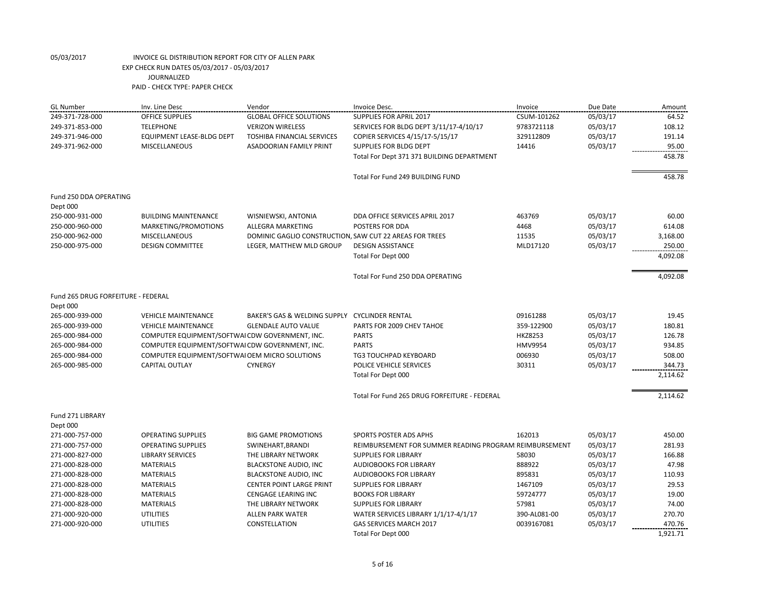| <b>GL Number</b>                   | Inv. Line Desc                                  | Vendor                                                  | Invoice Desc.                                          | Invoice        | Due Date | Amount   |
|------------------------------------|-------------------------------------------------|---------------------------------------------------------|--------------------------------------------------------|----------------|----------|----------|
| 249-371-728-000                    | OFFICE SUPPLIES                                 | <b>GLOBAL OFFICE SOLUTIONS</b>                          | <b>SUPPLIES FOR APRIL 2017</b>                         | CSUM-101262    | 05/03/17 | 64.52    |
| 249-371-853-000                    | <b>TELEPHONE</b>                                | <b>VERIZON WIRELESS</b>                                 | SERVICES FOR BLDG DEPT 3/11/17-4/10/17                 | 9783721118     | 05/03/17 | 108.12   |
| 249-371-946-000                    | EQUIPMENT LEASE-BLDG DEPT                       | <b>TOSHIBA FINANCIAL SERVICES</b>                       | COPIER SERVICES 4/15/17-5/15/17                        | 329112809      | 05/03/17 | 191.14   |
| 249-371-962-000                    | <b>MISCELLANEOUS</b>                            | <b>ASADOORIAN FAMILY PRINT</b>                          | SUPPLIES FOR BLDG DEPT                                 | 14416          | 05/03/17 | 95.00    |
|                                    |                                                 |                                                         | Total For Dept 371 371 BUILDING DEPARTMENT             |                |          | 458.78   |
|                                    |                                                 |                                                         | Total For Fund 249 BUILDING FUND                       |                |          | 458.78   |
| Fund 250 DDA OPERATING<br>Dept 000 |                                                 |                                                         |                                                        |                |          |          |
| 250-000-931-000                    | <b>BUILDING MAINTENANCE</b>                     | WISNIEWSKI, ANTONIA                                     | DDA OFFICE SERVICES APRIL 2017                         | 463769         | 05/03/17 | 60.00    |
| 250-000-960-000                    | MARKETING/PROMOTIONS                            | <b>ALLEGRA MARKETING</b>                                | POSTERS FOR DDA                                        | 4468           | 05/03/17 | 614.08   |
| 250-000-962-000                    | <b>MISCELLANEOUS</b>                            | DOMINIC GAGLIO CONSTRUCTION, SAW CUT 22 AREAS FOR TREES |                                                        | 11535          | 05/03/17 | 3,168.00 |
| 250-000-975-000                    | <b>DESIGN COMMITTEE</b>                         | LEGER, MATTHEW MLD GROUP                                | <b>DESIGN ASSISTANCE</b>                               | MLD17120       | 05/03/17 | 250.00   |
|                                    |                                                 |                                                         | Total For Dept 000                                     |                |          | 4,092.08 |
|                                    |                                                 |                                                         |                                                        |                |          |          |
|                                    |                                                 |                                                         | Total For Fund 250 DDA OPERATING                       |                |          | 4,092.08 |
| Fund 265 DRUG FORFEITURE - FEDERAL |                                                 |                                                         |                                                        |                |          |          |
| Dept 000                           |                                                 |                                                         |                                                        |                |          |          |
| 265-000-939-000                    | <b>VEHICLE MAINTENANCE</b>                      | BAKER'S GAS & WELDING SUPPLY CYCLINDER RENTAL           |                                                        | 09161288       | 05/03/17 | 19.45    |
| 265-000-939-000                    | <b>VEHICLE MAINTENANCE</b>                      | <b>GLENDALE AUTO VALUE</b>                              | PARTS FOR 2009 CHEV TAHOE                              | 359-122900     | 05/03/17 | 180.81   |
| 265-000-984-000                    | COMPUTER EQUIPMENT/SOFTWAI CDW GOVERNMENT, INC. |                                                         | <b>PARTS</b>                                           | <b>HKZ8253</b> | 05/03/17 | 126.78   |
| 265-000-984-000                    | COMPUTER EQUIPMENT/SOFTWAI CDW GOVERNMENT, INC. |                                                         | <b>PARTS</b>                                           | <b>HMV9954</b> | 05/03/17 | 934.85   |
| 265-000-984-000                    | COMPUTER EQUIPMENT/SOFTWAI OEM MICRO SOLUTIONS  |                                                         | <b>TG3 TOUCHPAD KEYBOARD</b>                           | 006930         | 05/03/17 | 508.00   |
| 265-000-985-000                    | <b>CAPITAL OUTLAY</b>                           | <b>CYNERGY</b>                                          | POLICE VEHICLE SERVICES                                | 30311          | 05/03/17 | 344.73   |
|                                    |                                                 |                                                         | Total For Dept 000                                     |                |          | 2,114.62 |
|                                    |                                                 |                                                         | Total For Fund 265 DRUG FORFEITURE - FEDERAL           |                |          | 2,114.62 |
| Fund 271 LIBRARY<br>Dept 000       |                                                 |                                                         |                                                        |                |          |          |
| 271-000-757-000                    | <b>OPERATING SUPPLIES</b>                       | <b>BIG GAME PROMOTIONS</b>                              | SPORTS POSTER ADS APHS                                 | 162013         | 05/03/17 | 450.00   |
| 271-000-757-000                    | <b>OPERATING SUPPLIES</b>                       | SWINEHART, BRANDI                                       | REIMBURSEMENT FOR SUMMER READING PROGRAM REIMBURSEMENT |                | 05/03/17 | 281.93   |
| 271-000-827-000                    | <b>LIBRARY SERVICES</b>                         | THE LIBRARY NETWORK                                     | <b>SUPPLIES FOR LIBRARY</b>                            | 58030          | 05/03/17 | 166.88   |
| 271-000-828-000                    | <b>MATERIALS</b>                                | <b>BLACKSTONE AUDIO, INC</b>                            | <b>AUDIOBOOKS FOR LIBRARY</b>                          | 888922         | 05/03/17 | 47.98    |
| 271-000-828-000                    | <b>MATERIALS</b>                                | <b>BLACKSTONE AUDIO, INC</b>                            | <b>AUDIOBOOKS FOR LIBRARY</b>                          | 895831         | 05/03/17 | 110.93   |
| 271-000-828-000                    | <b>MATERIALS</b>                                | <b>CENTER POINT LARGE PRINT</b>                         | <b>SUPPLIES FOR LIBRARY</b>                            | 1467109        | 05/03/17 | 29.53    |
| 271-000-828-000                    | <b>MATERIALS</b>                                | <b>CENGAGE LEARING INC</b>                              | <b>BOOKS FOR LIBRARY</b>                               | 59724777       | 05/03/17 | 19.00    |
| 271-000-828-000                    | <b>MATERIALS</b>                                | THE LIBRARY NETWORK                                     | <b>SUPPLIES FOR LIBRARY</b>                            | 57981          | 05/03/17 | 74.00    |
| 271-000-920-000                    | <b>UTILITIES</b>                                | <b>ALLEN PARK WATER</b>                                 | WATER SERVICES LIBRARY 1/1/17-4/1/17                   | 390-AL081-00   | 05/03/17 | 270.70   |
| 271-000-920-000                    | <b>UTILITIES</b>                                | CONSTELLATION                                           | <b>GAS SERVICES MARCH 2017</b>                         | 0039167081     | 05/03/17 | 470.76   |
|                                    |                                                 |                                                         | Total For Dept 000                                     |                |          | 1.921.71 |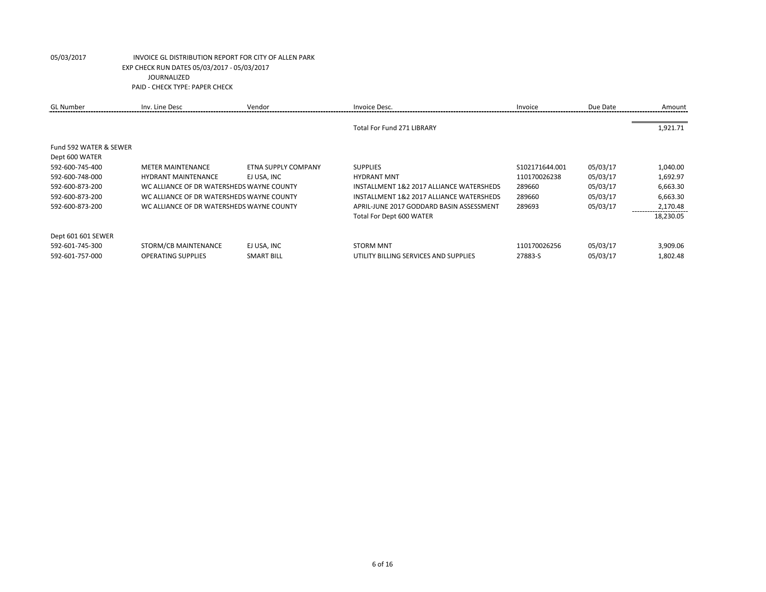| <b>GL</b> Number       | Inv. Line Desc                            | Vendor                     | Invoice Desc.                            | Invoice        | Due Date | Amount    |
|------------------------|-------------------------------------------|----------------------------|------------------------------------------|----------------|----------|-----------|
|                        |                                           |                            | <b>Total For Fund 271 LIBRARY</b>        |                |          | 1,921.71  |
| Fund 592 WATER & SEWER |                                           |                            |                                          |                |          |           |
| Dept 600 WATER         |                                           |                            |                                          |                |          |           |
| 592-600-745-400        | <b>METER MAINTENANCE</b>                  | <b>ETNA SUPPLY COMPANY</b> | <b>SUPPLIES</b>                          | S102171644.001 | 05/03/17 | 1,040.00  |
| 592-600-748-000        | <b>HYDRANT MAINTENANCE</b>                | EJ USA. INC                | <b>HYDRANT MNT</b>                       | 110170026238   | 05/03/17 | 1,692.97  |
| 592-600-873-200        | WC ALLIANCE OF DR WATERSHEDS WAYNE COUNTY |                            | INSTALLMENT 1&2 2017 ALLIANCE WATERSHEDS | 289660         | 05/03/17 | 6,663.30  |
| 592-600-873-200        | WC ALLIANCE OF DR WATERSHEDS WAYNE COUNTY |                            | INSTALLMENT 1&2 2017 ALLIANCE WATERSHEDS | 289660         | 05/03/17 | 6,663.30  |
| 592-600-873-200        | WC ALLIANCE OF DR WATERSHEDS WAYNE COUNTY |                            | APRIL-JUNE 2017 GODDARD BASIN ASSESSMENT | 289693         | 05/03/17 | 2,170.48  |
|                        |                                           |                            | Total For Dept 600 WATER                 |                |          | 18,230.05 |
| Dept 601 601 SEWER     |                                           |                            |                                          |                |          |           |
| 592-601-745-300        | STORM/CB MAINTENANCE                      | EJ USA. INC                | <b>STORM MNT</b>                         | 110170026256   | 05/03/17 | 3,909.06  |
| 592-601-757-000        | <b>OPERATING SUPPLIES</b>                 | <b>SMART BILL</b>          | UTILITY BILLING SERVICES AND SUPPLIES    | 27883-S        | 05/03/17 | 1,802.48  |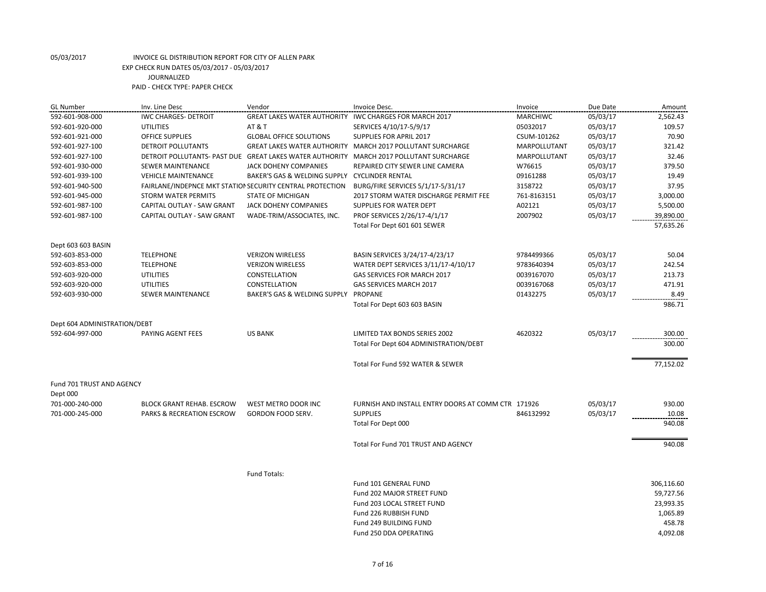| <b>GL Number</b>             | Inv. Line Desc                                            | Vendor                                                   | Invoice Desc.                                              | Invoice             | Due Date | Amount     |
|------------------------------|-----------------------------------------------------------|----------------------------------------------------------|------------------------------------------------------------|---------------------|----------|------------|
| 592-601-908-000              | <b>IWC CHARGES- DETROIT</b>                               | <b>GREAT LAKES WATER AUTHORITY</b>                       | IWC CHARGES FOR MARCH 2017                                 | <b>MARCHIWC</b>     | 05/03/17 | 2,562.43   |
| 592-601-920-000              | <b>AT &amp; T</b><br><b>UTILITIES</b>                     |                                                          | SERVICES 4/10/17-5/9/17                                    | 05032017            | 05/03/17 | 109.57     |
| 592-601-921-000              | <b>OFFICE SUPPLIES</b><br><b>GLOBAL OFFICE SOLUTIONS</b>  |                                                          | SUPPLIES FOR APRIL 2017                                    | CSUM-101262         | 05/03/17 | 70.90      |
| 592-601-927-100              | <b>DETROIT POLLUTANTS</b>                                 |                                                          | GREAT LAKES WATER AUTHORITY MARCH 2017 POLLUTANT SURCHARGE | <b>MARPOLLUTANT</b> | 05/03/17 | 321.42     |
| 592-601-927-100              |                                                           | DETROIT POLLUTANTS- PAST DUE GREAT LAKES WATER AUTHORITY | MARCH 2017 POLLUTANT SURCHARGE                             | MARPOLLUTANT        | 05/03/17 | 32.46      |
| 592-601-930-000              | <b>SEWER MAINTENANCE</b>                                  | JACK DOHENY COMPANIES                                    | REPAIRED CITY SEWER LINE CAMERA                            | W76615              | 05/03/17 | 379.50     |
| 592-601-939-100              | <b>VEHICLE MAINTENANCE</b>                                | BAKER'S GAS & WELDING SUPPLY CYCLINDER RENTAL            |                                                            | 09161288            | 05/03/17 | 19.49      |
| 592-601-940-500              | FAIRLANE/INDEPNCE MKT STATION SECURITY CENTRAL PROTECTION |                                                          | BURG/FIRE SERVICES 5/1/17-5/31/17                          | 3158722             | 05/03/17 | 37.95      |
| 592-601-945-000              | <b>STORM WATER PERMITS</b>                                | <b>STATE OF MICHIGAN</b>                                 | 2017 STORM WATER DISCHARGE PERMIT FEE                      | 761-8163151         | 05/03/17 | 3,000.00   |
| 592-601-987-100              | CAPITAL OUTLAY - SAW GRANT                                | JACK DOHENY COMPANIES                                    | SUPPLIES FOR WATER DEPT                                    | A02121              | 05/03/17 | 5,500.00   |
| 592-601-987-100              | CAPITAL OUTLAY - SAW GRANT                                | WADE-TRIM/ASSOCIATES, INC.                               | PROF SERVICES 2/26/17-4/1/17                               | 2007902             | 05/03/17 | 39,890.00  |
|                              |                                                           |                                                          | Total For Dept 601 601 SEWER                               |                     |          | 57,635.26  |
| Dept 603 603 BASIN           |                                                           |                                                          |                                                            |                     |          |            |
| 592-603-853-000              | <b>TELEPHONE</b>                                          | <b>VERIZON WIRELESS</b>                                  | BASIN SERVICES 3/24/17-4/23/17                             | 9784499366          | 05/03/17 | 50.04      |
| 592-603-853-000              | <b>TELEPHONE</b>                                          | <b>VERIZON WIRELESS</b>                                  | WATER DEPT SERVICES 3/11/17-4/10/17                        | 9783640394          | 05/03/17 | 242.54     |
| 592-603-920-000              | <b>UTILITIES</b>                                          | CONSTELLATION                                            | GAS SERVICES FOR MARCH 2017                                | 0039167070          | 05/03/17 | 213.73     |
| 592-603-920-000              | <b>UTILITIES</b>                                          | CONSTELLATION                                            | GAS SERVICES MARCH 2017                                    | 0039167068          | 05/03/17 | 471.91     |
| 592-603-930-000              | <b>SEWER MAINTENANCE</b>                                  | BAKER'S GAS & WELDING SUPPLY                             | PROPANE                                                    | 01432275            | 05/03/17 | 8.49       |
|                              |                                                           |                                                          | Total For Dept 603 603 BASIN                               |                     |          | 986.71     |
| Dept 604 ADMINISTRATION/DEBT |                                                           |                                                          |                                                            |                     |          |            |
| 592-604-997-000              | PAYING AGENT FEES                                         | <b>US BANK</b>                                           | LIMITED TAX BONDS SERIES 2002                              | 4620322             | 05/03/17 | 300.00     |
|                              |                                                           |                                                          | Total For Dept 604 ADMINISTRATION/DEBT                     |                     |          | 300.00     |
|                              |                                                           |                                                          | Total For Fund 592 WATER & SEWER                           |                     |          | 77,152.02  |
| Fund 701 TRUST AND AGENCY    |                                                           |                                                          |                                                            |                     |          |            |
| Dept 000                     |                                                           |                                                          |                                                            |                     |          |            |
| 701-000-240-000              | <b>BLOCK GRANT REHAB. ESCROW</b>                          | WEST METRO DOOR INC                                      | FURNISH AND INSTALL ENTRY DOORS AT COMM CTR 171926         |                     | 05/03/17 | 930.00     |
| 701-000-245-000              | <b>PARKS &amp; RECREATION ESCROW</b>                      | <b>GORDON FOOD SERV.</b>                                 | <b>SUPPLIES</b>                                            | 846132992           | 05/03/17 | 10.08      |
|                              |                                                           |                                                          | Total For Dept 000                                         |                     |          | 940.08     |
|                              |                                                           |                                                          | Total For Fund 701 TRUST AND AGENCY                        |                     |          | 940.08     |
|                              |                                                           |                                                          |                                                            |                     |          |            |
|                              |                                                           | Fund Totals:                                             |                                                            |                     |          |            |
|                              |                                                           |                                                          | Fund 101 GENERAL FUND                                      |                     |          | 306,116.60 |
|                              |                                                           |                                                          | Fund 202 MAJOR STREET FUND                                 |                     |          | 59,727.56  |
|                              |                                                           |                                                          | Fund 203 LOCAL STREET FUND                                 |                     |          | 23,993.35  |
|                              |                                                           |                                                          | Fund 226 RUBBISH FUND                                      |                     |          | 1,065.89   |
|                              |                                                           |                                                          | Fund 249 BUILDING FUND                                     |                     |          | 458.78     |
|                              |                                                           |                                                          | Fund 250 DDA OPERATING                                     |                     |          | 4,092.08   |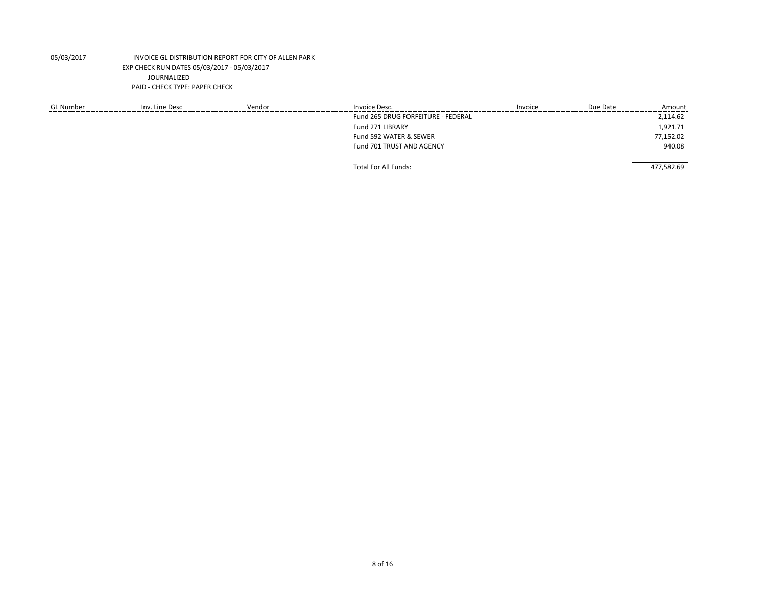| <b>GL Number</b> | Inv. Line Desc | Vendor | Invoice Desc.                      | Invoice | Due Date | Amount     |
|------------------|----------------|--------|------------------------------------|---------|----------|------------|
|                  |                |        | Fund 265 DRUG FORFEITURE - FEDERAL |         |          | 2,114.62   |
|                  |                |        | Fund 271 LIBRARY                   |         |          | 1,921.71   |
|                  |                |        | Fund 592 WATER & SEWER             |         |          | 77,152.02  |
|                  |                |        | Fund 701 TRUST AND AGENCY          |         |          | 940.08     |
|                  |                |        | Total For All Funds:               |         |          | 477,582.69 |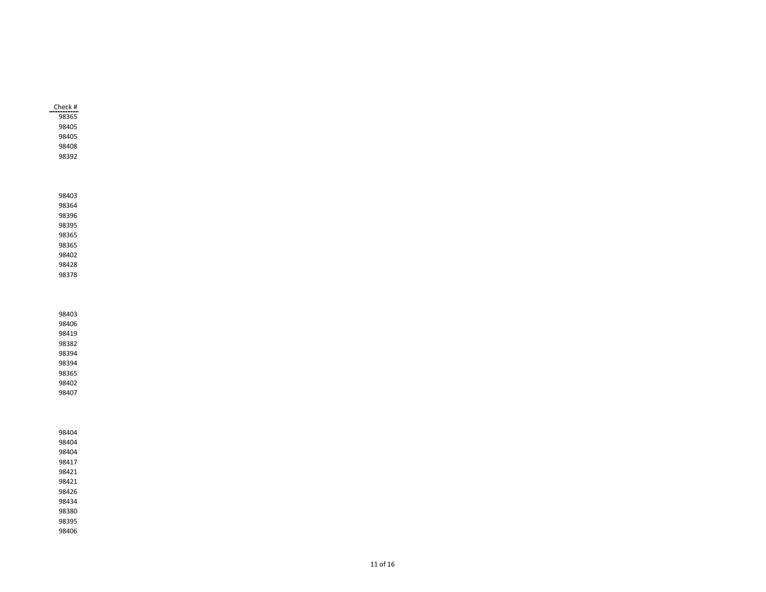| Check # |  |
|---------|--|
| 98365   |  |
| 98405   |  |
| 98405   |  |
| 98408   |  |
| 98392   |  |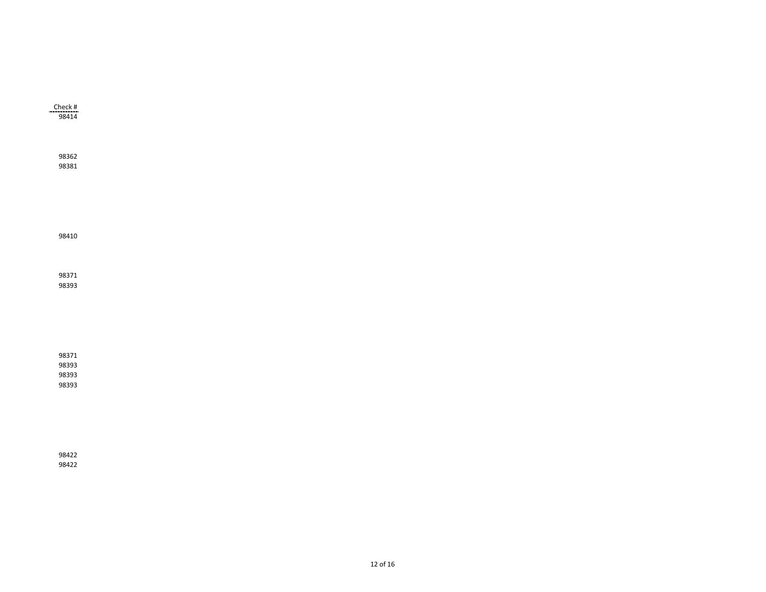| $\frac{\text{Check H}}{98414}$   |  |  |  |
|----------------------------------|--|--|--|
| 98362<br>98381                   |  |  |  |
|                                  |  |  |  |
| 98410                            |  |  |  |
| 98371<br>98393                   |  |  |  |
|                                  |  |  |  |
| 98371<br>98393<br>98393<br>98393 |  |  |  |
|                                  |  |  |  |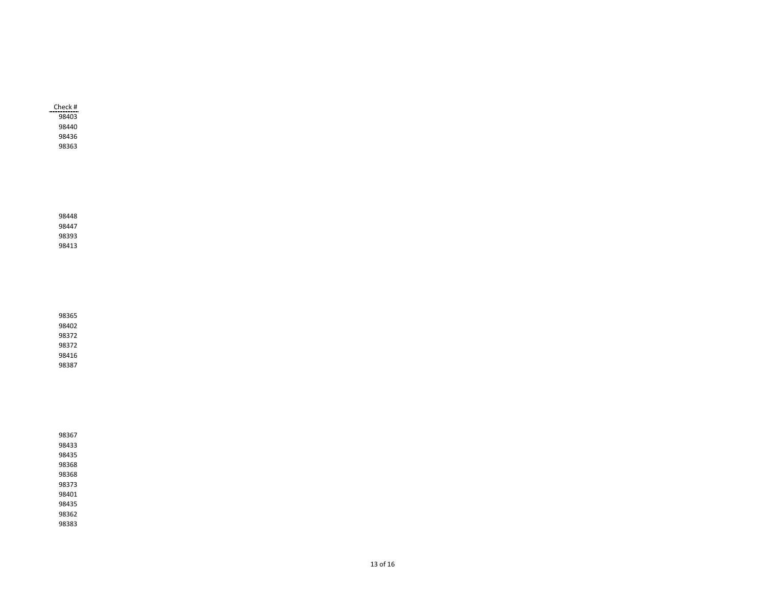| Check # |
|---------|
| 98403   |
| 98440   |
| 98436   |
| 98363   |

| 98367 |  |  |  |
|-------|--|--|--|
| 98433 |  |  |  |
| 98435 |  |  |  |
| 98368 |  |  |  |
| 98368 |  |  |  |
| 98373 |  |  |  |
| 98401 |  |  |  |
| 98435 |  |  |  |
| 98362 |  |  |  |
| 98383 |  |  |  |
|       |  |  |  |